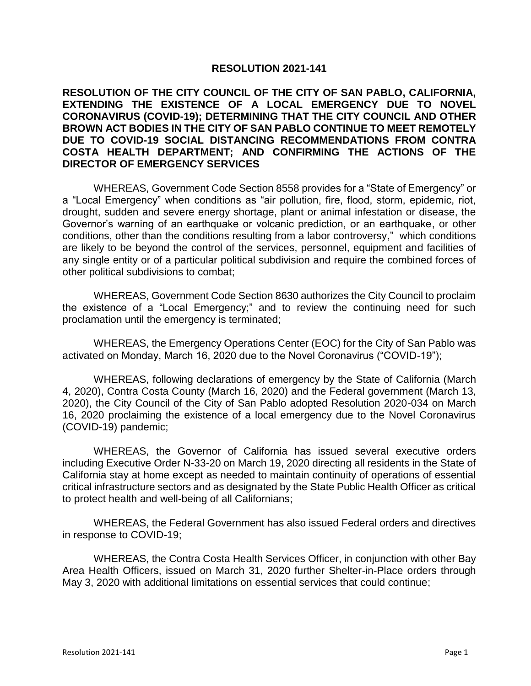## **RESOLUTION 2021-141**

## **RESOLUTION OF THE CITY COUNCIL OF THE CITY OF SAN PABLO, CALIFORNIA, EXTENDING THE EXISTENCE OF A LOCAL EMERGENCY DUE TO NOVEL CORONAVIRUS (COVID-19); DETERMINING THAT THE CITY COUNCIL AND OTHER BROWN ACT BODIES IN THE CITY OF SAN PABLO CONTINUE TO MEET REMOTELY DUE TO COVID-19 SOCIAL DISTANCING RECOMMENDATIONS FROM CONTRA COSTA HEALTH DEPARTMENT; AND CONFIRMING THE ACTIONS OF THE DIRECTOR OF EMERGENCY SERVICES**

WHEREAS, Government Code Section 8558 provides for a "State of Emergency" or a "Local Emergency" when conditions as "air pollution, fire, flood, storm, epidemic, riot, drought, sudden and severe energy shortage, plant or animal infestation or disease, the Governor's warning of an earthquake or volcanic prediction, or an earthquake, or other conditions, other than the conditions resulting from a labor controversy," which conditions are likely to be beyond the control of the services, personnel, equipment and facilities of any single entity or of a particular political subdivision and require the combined forces of other political subdivisions to combat;

WHEREAS, Government Code Section 8630 authorizes the City Council to proclaim the existence of a "Local Emergency;" and to review the continuing need for such proclamation until the emergency is terminated;

WHEREAS, the Emergency Operations Center (EOC) for the City of San Pablo was activated on Monday, March 16, 2020 due to the Novel Coronavirus ("COVID-19");

WHEREAS, following declarations of emergency by the State of California (March 4, 2020), Contra Costa County (March 16, 2020) and the Federal government (March 13, 2020), the City Council of the City of San Pablo adopted Resolution 2020-034 on March 16, 2020 proclaiming the existence of a local emergency due to the Novel Coronavirus (COVID-19) pandemic;

WHEREAS, the Governor of California has issued several executive orders including Executive Order N-33-20 on March 19, 2020 directing all residents in the State of California stay at home except as needed to maintain continuity of operations of essential critical infrastructure sectors and as designated by the State Public Health Officer as critical to protect health and well-being of all Californians;

WHEREAS, the Federal Government has also issued Federal orders and directives in response to COVID-19;

WHEREAS, the Contra Costa Health Services Officer, in conjunction with other Bay Area Health Officers, issued on March 31, 2020 further Shelter-in-Place orders through May 3, 2020 with additional limitations on essential services that could continue;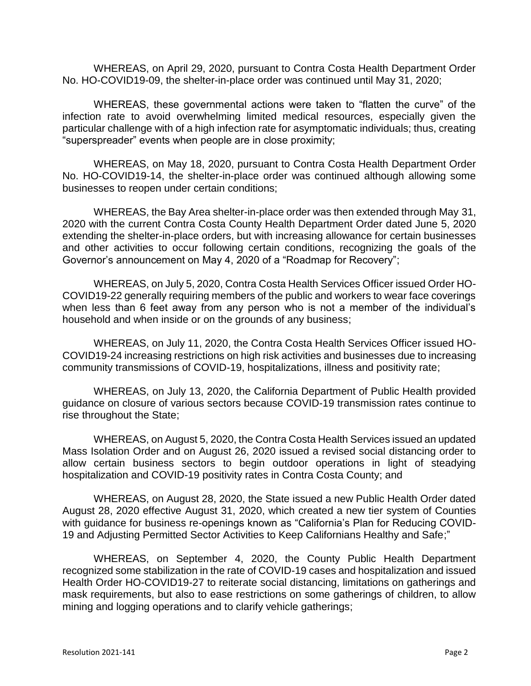WHEREAS, on April 29, 2020, pursuant to Contra Costa Health Department Order No. HO-COVID19-09, the shelter-in-place order was continued until May 31, 2020;

WHEREAS, these governmental actions were taken to "flatten the curve" of the infection rate to avoid overwhelming limited medical resources, especially given the particular challenge with of a high infection rate for asymptomatic individuals; thus, creating "superspreader" events when people are in close proximity;

WHEREAS, on May 18, 2020, pursuant to Contra Costa Health Department Order No. HO-COVID19-14, the shelter-in-place order was continued although allowing some businesses to reopen under certain conditions;

WHEREAS, the Bay Area shelter-in-place order was then extended through May 31, 2020 with the current Contra Costa County Health Department Order dated June 5, 2020 extending the shelter-in-place orders, but with increasing allowance for certain businesses and other activities to occur following certain conditions, recognizing the goals of the Governor's announcement on May 4, 2020 of a "Roadmap for Recovery";

WHEREAS, on July 5, 2020, Contra Costa Health Services Officer issued Order HO-COVID19-22 generally requiring members of the public and workers to wear face coverings when less than 6 feet away from any person who is not a member of the individual's household and when inside or on the grounds of any business;

WHEREAS, on July 11, 2020, the Contra Costa Health Services Officer issued HO-COVID19-24 increasing restrictions on high risk activities and businesses due to increasing community transmissions of COVID-19, hospitalizations, illness and positivity rate;

WHEREAS, on July 13, 2020, the California Department of Public Health provided guidance on closure of various sectors because COVID-19 transmission rates continue to rise throughout the State;

WHEREAS, on August 5, 2020, the Contra Costa Health Services issued an updated Mass Isolation Order and on August 26, 2020 issued a revised social distancing order to allow certain business sectors to begin outdoor operations in light of steadying hospitalization and COVID-19 positivity rates in Contra Costa County; and

WHEREAS, on August 28, 2020, the State issued a new Public Health Order dated August 28, 2020 effective August 31, 2020, which created a new tier system of Counties with guidance for business re-openings known as "California's Plan for Reducing COVID-19 and Adjusting Permitted Sector Activities to Keep Californians Healthy and Safe;"

WHEREAS, on September 4, 2020, the County Public Health Department recognized some stabilization in the rate of COVID-19 cases and hospitalization and issued Health Order HO-COVID19-27 to reiterate social distancing, limitations on gatherings and mask requirements, but also to ease restrictions on some gatherings of children, to allow mining and logging operations and to clarify vehicle gatherings;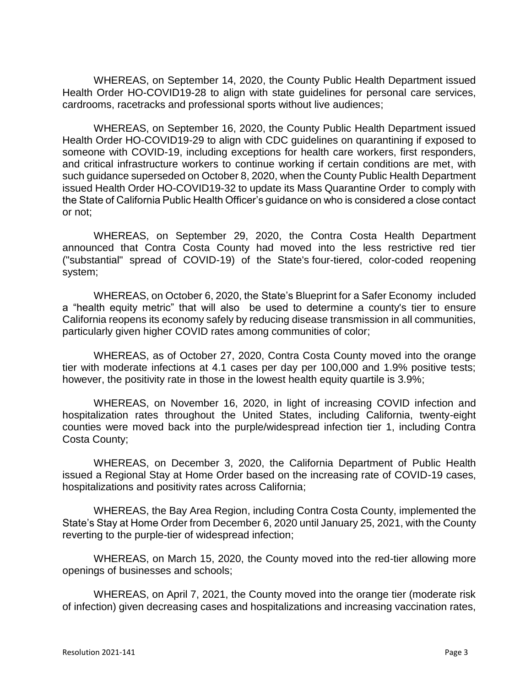WHEREAS, on September 14, 2020, the County Public Health Department issued Health Order HO-COVID19-28 to align with state guidelines for personal care services, cardrooms, racetracks and professional sports without live audiences;

WHEREAS, on September 16, 2020, the County Public Health Department issued Health Order HO-COVID19-29 to align with CDC guidelines on quarantining if exposed to someone with COVID-19, including exceptions for health care workers, first responders, and critical infrastructure workers to continue working if certain conditions are met, with such guidance superseded on October 8, 2020, when the County Public Health Department issued Health Order HO-COVID19-32 to update its Mass Quarantine Order to comply with the State of California Public Health Officer's guidance on who is considered a close contact or not;

WHEREAS, on September 29, 2020, the Contra Costa Health Department announced that Contra Costa County had moved into the less restrictive red tier ("substantial" spread of COVID-19) of the State's [four-tiered, color-coded reopening](https://covid19.ca.gov/safer-economy/)  [system;](https://covid19.ca.gov/safer-economy/)

WHEREAS, on October 6, 2020, the State's [Blueprint for a Safer Economy](https://www.cdph.ca.gov/Programs/CID/DCDC/Pages/COVID-19/COVID19CountyMonitoringOverview.aspx) included a "health equity metric" that will also be used to determine a county's tier to ensure California reopens its economy safely by reducing disease transmission in all communities, particularly given higher COVID rates among communities of color;

WHEREAS, as of October 27, 2020, Contra Costa County moved into the orange tier with moderate infections at 4.1 cases per day per 100,000 and 1.9% positive tests; however, the positivity rate in those in the lowest health equity quartile is 3.9%;

WHEREAS, on November 16, 2020, in light of increasing COVID infection and hospitalization rates throughout the United States, including California, twenty-eight counties were moved back into the purple/widespread infection tier 1, including Contra Costa County;

WHEREAS, on December 3, 2020, the California Department of Public Health issued a Regional Stay at Home Order based on the increasing rate of COVID-19 cases, hospitalizations and positivity rates across California;

WHEREAS, the Bay Area Region, including Contra Costa County, implemented the State's Stay at Home Order from December 6, 2020 until January 25, 2021, with the County reverting to the purple-tier of widespread infection;

WHEREAS, on March 15, 2020, the County moved into the red-tier allowing more openings of businesses and schools;

WHEREAS, on April 7, 2021, the County moved into the orange tier (moderate risk of infection) given decreasing cases and hospitalizations and increasing vaccination rates,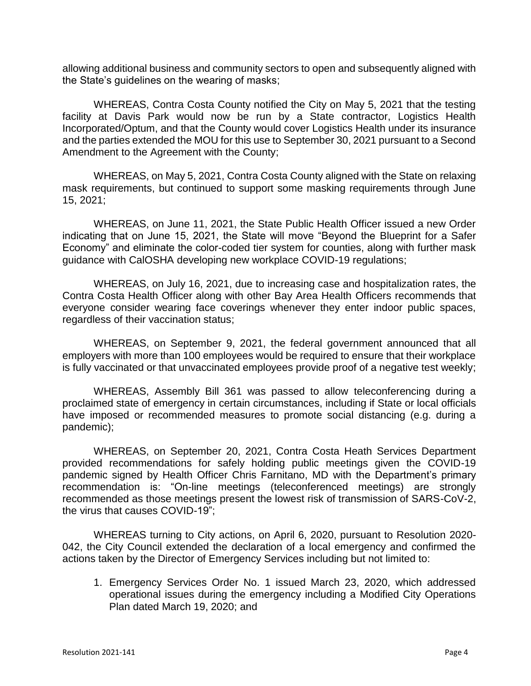allowing additional business and community sectors to open and subsequently aligned with the State's guidelines on the wearing of masks;

WHEREAS, Contra Costa County notified the City on May 5, 2021 that the testing facility at Davis Park would now be run by a State contractor, Logistics Health Incorporated/Optum, and that the County would cover Logistics Health under its insurance and the parties extended the MOU for this use to September 30, 2021 pursuant to a Second Amendment to the Agreement with the County;

WHEREAS, on May 5, 2021, Contra Costa County aligned with the State on relaxing mask requirements, but continued to support some masking requirements through June 15, 2021;

WHEREAS, on June 11, 2021, the State Public Health Officer issued a new Order indicating that on June 15, 2021, the State will move "Beyond the Blueprint for a Safer Economy" and eliminate the color-coded tier system for counties, along with further mask guidance with CalOSHA developing new workplace COVID-19 regulations;

WHEREAS, on July 16, 2021, due to increasing case and hospitalization rates, the Contra Costa Health Officer along with other Bay Area Health Officers recommends that everyone consider wearing face coverings whenever they enter indoor public spaces, regardless of their vaccination status;

WHEREAS, on September 9, 2021, the federal government announced that all employers with more than 100 employees would be required to ensure that their workplace is fully vaccinated or that unvaccinated employees provide proof of a negative test weekly;

WHEREAS, Assembly Bill 361 was passed to allow teleconferencing during a proclaimed state of emergency in certain circumstances, including if State or local officials have imposed or recommended measures to promote social distancing (e.g. during a pandemic);

WHEREAS, on September 20, 2021, Contra Costa Heath Services Department provided recommendations for safely holding public meetings given the COVID-19 pandemic signed by Health Officer Chris Farnitano, MD with the Department's primary recommendation is: "On-line meetings (teleconferenced meetings) are strongly recommended as those meetings present the lowest risk of transmission of SARS-CoV-2, the virus that causes COVID-19";

WHEREAS turning to City actions, on April 6, 2020, pursuant to Resolution 2020- 042, the City Council extended the declaration of a local emergency and confirmed the actions taken by the Director of Emergency Services including but not limited to:

1. Emergency Services Order No. 1 issued March 23, 2020, which addressed operational issues during the emergency including a Modified City Operations Plan dated March 19, 2020; and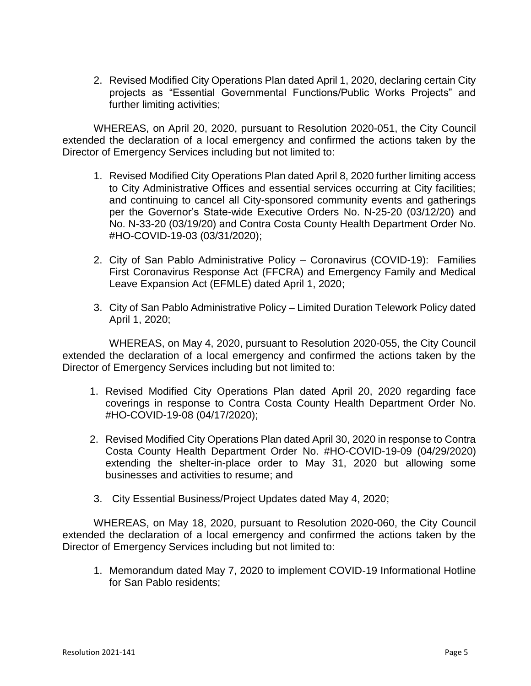2. Revised Modified City Operations Plan dated April 1, 2020, declaring certain City projects as "Essential Governmental Functions/Public Works Projects" and further limiting activities;

WHEREAS, on April 20, 2020, pursuant to Resolution 2020-051, the City Council extended the declaration of a local emergency and confirmed the actions taken by the Director of Emergency Services including but not limited to:

- 1. Revised Modified City Operations Plan dated April 8, 2020 further limiting access to City Administrative Offices and essential services occurring at City facilities; and continuing to cancel all City-sponsored community events and gatherings per the Governor's State-wide Executive Orders No. N-25-20 (03/12/20) and No. N-33-20 (03/19/20) and Contra Costa County Health Department Order No. #HO-COVID-19-03 (03/31/2020);
- 2. City of San Pablo Administrative Policy Coronavirus (COVID-19): Families First Coronavirus Response Act (FFCRA) and Emergency Family and Medical Leave Expansion Act (EFMLE) dated April 1, 2020;
- 3. City of San Pablo Administrative Policy Limited Duration Telework Policy dated April 1, 2020;

WHEREAS, on May 4, 2020, pursuant to Resolution 2020-055, the City Council extended the declaration of a local emergency and confirmed the actions taken by the Director of Emergency Services including but not limited to:

- 1. Revised Modified City Operations Plan dated April 20, 2020 regarding face coverings in response to Contra Costa County Health Department Order No. #HO-COVID-19-08 (04/17/2020);
- 2. Revised Modified City Operations Plan dated April 30, 2020 in response to Contra Costa County Health Department Order No. #HO-COVID-19-09 (04/29/2020) extending the shelter-in-place order to May 31, 2020 but allowing some businesses and activities to resume; and
- 3. City Essential Business/Project Updates dated May 4, 2020;

WHEREAS, on May 18, 2020, pursuant to Resolution 2020-060, the City Council extended the declaration of a local emergency and confirmed the actions taken by the Director of Emergency Services including but not limited to:

1. Memorandum dated May 7, 2020 to implement COVID-19 Informational Hotline for San Pablo residents;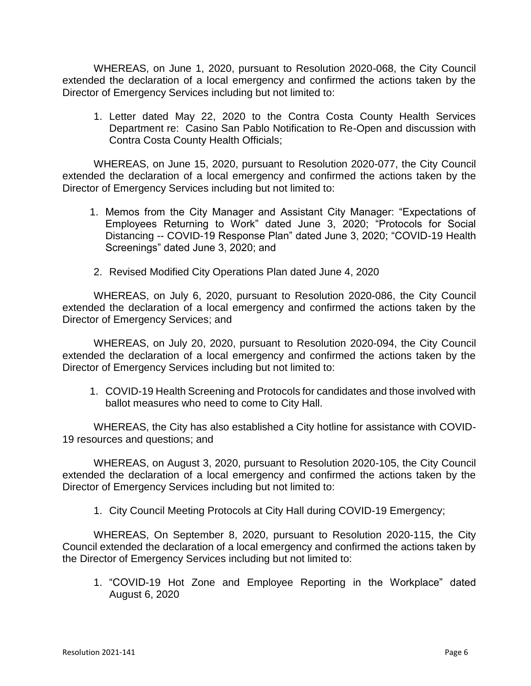WHEREAS, on June 1, 2020, pursuant to Resolution 2020-068, the City Council extended the declaration of a local emergency and confirmed the actions taken by the Director of Emergency Services including but not limited to:

1. Letter dated May 22, 2020 to the Contra Costa County Health Services Department re: Casino San Pablo Notification to Re-Open and discussion with Contra Costa County Health Officials;

WHEREAS, on June 15, 2020, pursuant to Resolution 2020-077, the City Council extended the declaration of a local emergency and confirmed the actions taken by the Director of Emergency Services including but not limited to:

- 1. Memos from the City Manager and Assistant City Manager: "Expectations of Employees Returning to Work" dated June 3, 2020; "Protocols for Social Distancing -- COVID-19 Response Plan" dated June 3, 2020; "COVID-19 Health Screenings" dated June 3, 2020; and
- 2. Revised Modified City Operations Plan dated June 4, 2020

WHEREAS, on July 6, 2020, pursuant to Resolution 2020-086, the City Council extended the declaration of a local emergency and confirmed the actions taken by the Director of Emergency Services; and

WHEREAS, on July 20, 2020, pursuant to Resolution 2020-094, the City Council extended the declaration of a local emergency and confirmed the actions taken by the Director of Emergency Services including but not limited to:

1. COVID-19 Health Screening and Protocols for candidates and those involved with ballot measures who need to come to City Hall.

WHEREAS, the City has also established a City hotline for assistance with COVID-19 resources and questions; and

WHEREAS, on August 3, 2020, pursuant to Resolution 2020-105, the City Council extended the declaration of a local emergency and confirmed the actions taken by the Director of Emergency Services including but not limited to:

1. City Council Meeting Protocols at City Hall during COVID-19 Emergency;

WHEREAS, On September 8, 2020, pursuant to Resolution 2020-115, the City Council extended the declaration of a local emergency and confirmed the actions taken by the Director of Emergency Services including but not limited to:

1. "COVID-19 Hot Zone and Employee Reporting in the Workplace" dated August 6, 2020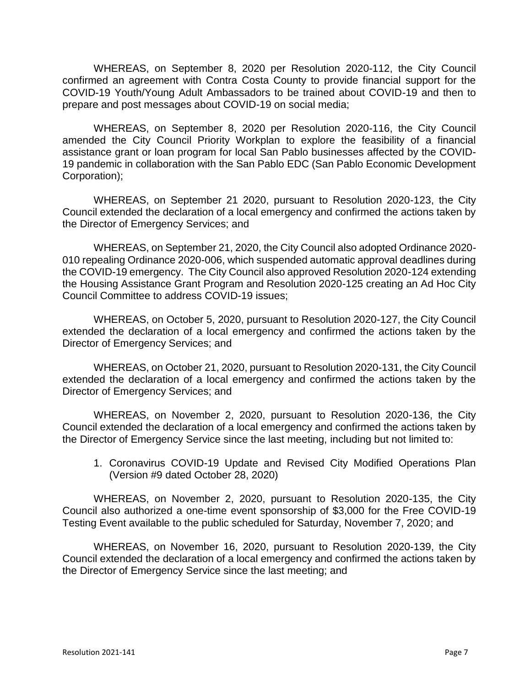WHEREAS, on September 8, 2020 per Resolution 2020-112, the City Council confirmed an agreement with Contra Costa County to provide financial support for the COVID-19 Youth/Young Adult Ambassadors to be trained about COVID-19 and then to prepare and post messages about COVID-19 on social media;

WHEREAS, on September 8, 2020 per Resolution 2020-116, the City Council amended the City Council Priority Workplan to explore the feasibility of a financial assistance grant or loan program for local San Pablo businesses affected by the COVID-19 pandemic in collaboration with the San Pablo EDC (San Pablo Economic Development Corporation);

WHEREAS, on September 21 2020, pursuant to Resolution 2020-123, the City Council extended the declaration of a local emergency and confirmed the actions taken by the Director of Emergency Services; and

WHEREAS, on September 21, 2020, the City Council also adopted Ordinance 2020- 010 repealing Ordinance 2020-006, which suspended automatic approval deadlines during the COVID-19 emergency. The City Council also approved Resolution 2020-124 extending the Housing Assistance Grant Program and Resolution 2020-125 creating an Ad Hoc City Council Committee to address COVID-19 issues;

WHEREAS, on October 5, 2020, pursuant to Resolution 2020-127, the City Council extended the declaration of a local emergency and confirmed the actions taken by the Director of Emergency Services; and

WHEREAS, on October 21, 2020, pursuant to Resolution 2020-131, the City Council extended the declaration of a local emergency and confirmed the actions taken by the Director of Emergency Services; and

WHEREAS, on November 2, 2020, pursuant to Resolution 2020-136, the City Council extended the declaration of a local emergency and confirmed the actions taken by the Director of Emergency Service since the last meeting, including but not limited to:

1. Coronavirus COVID-19 Update and Revised City Modified Operations Plan (Version #9 dated October 28, 2020)

WHEREAS, on November 2, 2020, pursuant to Resolution 2020-135, the City Council also authorized a one-time event sponsorship of \$3,000 for the Free COVID-19 Testing Event available to the public scheduled for Saturday, November 7, 2020; and

WHEREAS, on November 16, 2020, pursuant to Resolution 2020-139, the City Council extended the declaration of a local emergency and confirmed the actions taken by the Director of Emergency Service since the last meeting; and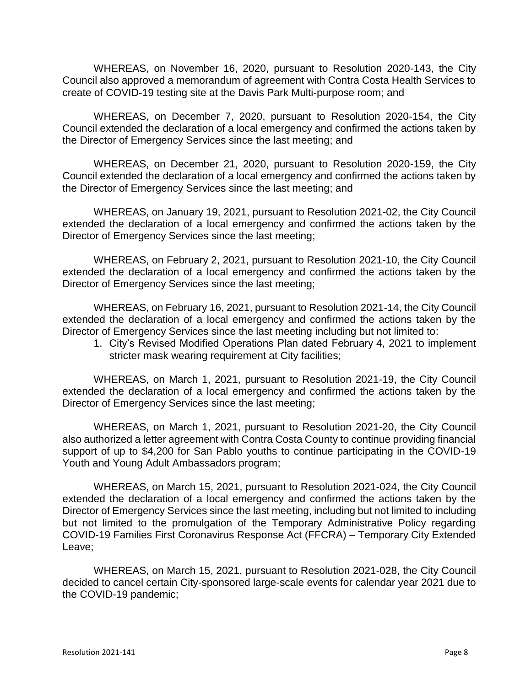WHEREAS, on November 16, 2020, pursuant to Resolution 2020-143, the City Council also approved a memorandum of agreement with Contra Costa Health Services to create of COVID-19 testing site at the Davis Park Multi-purpose room; and

WHEREAS, on December 7, 2020, pursuant to Resolution 2020-154, the City Council extended the declaration of a local emergency and confirmed the actions taken by the Director of Emergency Services since the last meeting; and

WHEREAS, on December 21, 2020, pursuant to Resolution 2020-159, the City Council extended the declaration of a local emergency and confirmed the actions taken by the Director of Emergency Services since the last meeting; and

WHEREAS, on January 19, 2021, pursuant to Resolution 2021-02, the City Council extended the declaration of a local emergency and confirmed the actions taken by the Director of Emergency Services since the last meeting;

WHEREAS, on February 2, 2021, pursuant to Resolution 2021-10, the City Council extended the declaration of a local emergency and confirmed the actions taken by the Director of Emergency Services since the last meeting;

WHEREAS, on February 16, 2021, pursuant to Resolution 2021-14, the City Council extended the declaration of a local emergency and confirmed the actions taken by the Director of Emergency Services since the last meeting including but not limited to:

1. City's Revised Modified Operations Plan dated February 4, 2021 to implement stricter mask wearing requirement at City facilities;

WHEREAS, on March 1, 2021, pursuant to Resolution 2021-19, the City Council extended the declaration of a local emergency and confirmed the actions taken by the Director of Emergency Services since the last meeting;

WHEREAS, on March 1, 2021, pursuant to Resolution 2021-20, the City Council also authorized a letter agreement with Contra Costa County to continue providing financial support of up to \$4,200 for San Pablo youths to continue participating in the COVID-19 Youth and Young Adult Ambassadors program;

WHEREAS, on March 15, 2021, pursuant to Resolution 2021-024, the City Council extended the declaration of a local emergency and confirmed the actions taken by the Director of Emergency Services since the last meeting, including but not limited to including but not limited to the promulgation of the Temporary Administrative Policy regarding COVID-19 Families First Coronavirus Response Act (FFCRA) – Temporary City Extended Leave;

WHEREAS, on March 15, 2021, pursuant to Resolution 2021-028, the City Council decided to cancel certain City-sponsored large-scale events for calendar year 2021 due to the COVID-19 pandemic;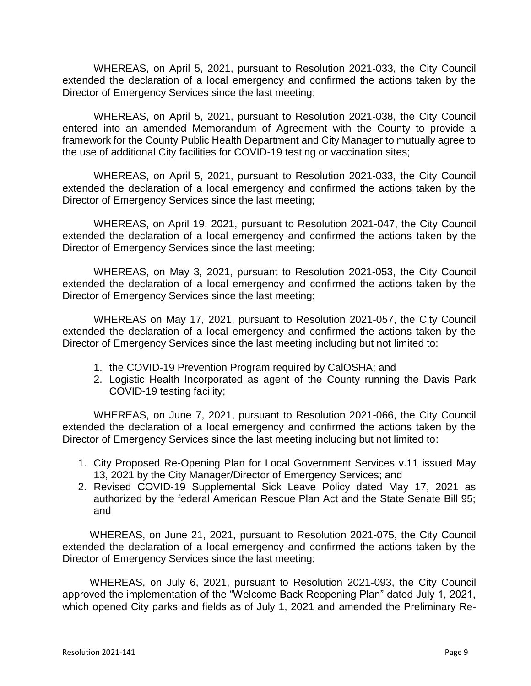WHEREAS, on April 5, 2021, pursuant to Resolution 2021-033, the City Council extended the declaration of a local emergency and confirmed the actions taken by the Director of Emergency Services since the last meeting;

WHEREAS, on April 5, 2021, pursuant to Resolution 2021-038, the City Council entered into an amended Memorandum of Agreement with the County to provide a framework for the County Public Health Department and City Manager to mutually agree to the use of additional City facilities for COVID-19 testing or vaccination sites;

WHEREAS, on April 5, 2021, pursuant to Resolution 2021-033, the City Council extended the declaration of a local emergency and confirmed the actions taken by the Director of Emergency Services since the last meeting;

WHEREAS, on April 19, 2021, pursuant to Resolution 2021-047, the City Council extended the declaration of a local emergency and confirmed the actions taken by the Director of Emergency Services since the last meeting;

WHEREAS, on May 3, 2021, pursuant to Resolution 2021-053, the City Council extended the declaration of a local emergency and confirmed the actions taken by the Director of Emergency Services since the last meeting;

WHEREAS on May 17, 2021, pursuant to Resolution 2021-057, the City Council extended the declaration of a local emergency and confirmed the actions taken by the Director of Emergency Services since the last meeting including but not limited to:

- 1. the COVID-19 Prevention Program required by CalOSHA; and
- 2. Logistic Health Incorporated as agent of the County running the Davis Park COVID-19 testing facility;

WHEREAS, on June 7, 2021, pursuant to Resolution 2021-066, the City Council extended the declaration of a local emergency and confirmed the actions taken by the Director of Emergency Services since the last meeting including but not limited to:

- 1. City Proposed Re-Opening Plan for Local Government Services v.11 issued May 13, 2021 by the City Manager/Director of Emergency Services; and
- 2. Revised COVID-19 Supplemental Sick Leave Policy dated May 17, 2021 as authorized by the federal American Rescue Plan Act and the State Senate Bill 95; and

WHEREAS, on June 21, 2021, pursuant to Resolution 2021-075, the City Council extended the declaration of a local emergency and confirmed the actions taken by the Director of Emergency Services since the last meeting;

WHEREAS, on July 6, 2021, pursuant to Resolution 2021-093, the City Council approved the implementation of the "Welcome Back Reopening Plan" dated July 1, 2021, which opened City parks and fields as of July 1, 2021 and amended the Preliminary Re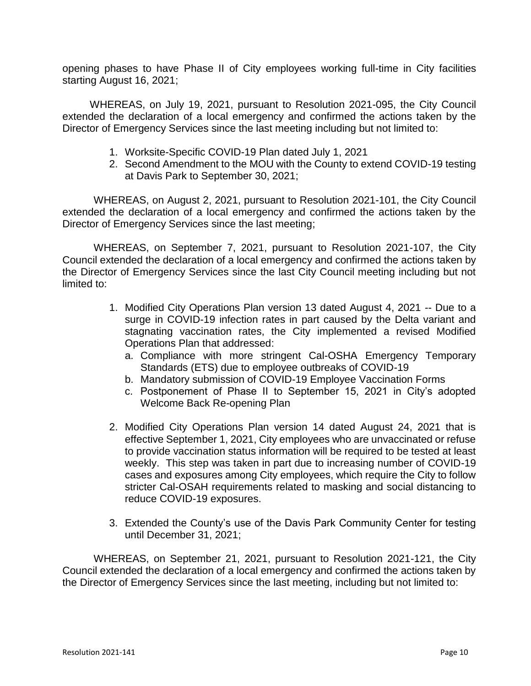opening phases to have Phase II of City employees working full-time in City facilities starting August 16, 2021;

WHEREAS, on July 19, 2021, pursuant to Resolution 2021-095, the City Council extended the declaration of a local emergency and confirmed the actions taken by the Director of Emergency Services since the last meeting including but not limited to:

- 1. Worksite-Specific COVID-19 Plan dated July 1, 2021
- 2. Second Amendment to the MOU with the County to extend COVID-19 testing at Davis Park to September 30, 2021;

WHEREAS, on August 2, 2021, pursuant to Resolution 2021-101, the City Council extended the declaration of a local emergency and confirmed the actions taken by the Director of Emergency Services since the last meeting;

WHEREAS, on September 7, 2021, pursuant to Resolution 2021-107, the City Council extended the declaration of a local emergency and confirmed the actions taken by the Director of Emergency Services since the last City Council meeting including but not limited to:

- 1. Modified City Operations Plan version 13 dated August 4, 2021 -- Due to a surge in COVID-19 infection rates in part caused by the Delta variant and stagnating vaccination rates, the City implemented a revised Modified Operations Plan that addressed:
	- a. Compliance with more stringent Cal-OSHA Emergency Temporary Standards (ETS) due to employee outbreaks of COVID-19
	- b. Mandatory submission of COVID-19 Employee Vaccination Forms
	- c. Postponement of Phase II to September 15, 2021 in City's adopted Welcome Back Re-opening Plan
- 2. Modified City Operations Plan version 14 dated August 24, 2021 that is effective September 1, 2021, City employees who are unvaccinated or refuse to provide vaccination status information will be required to be tested at least weekly. This step was taken in part due to increasing number of COVID-19 cases and exposures among City employees, which require the City to follow stricter Cal-OSAH requirements related to masking and social distancing to reduce COVID-19 exposures.
- 3. Extended the County's use of the Davis Park Community Center for testing until December 31, 2021;

WHEREAS, on September 21, 2021, pursuant to Resolution 2021-121, the City Council extended the declaration of a local emergency and confirmed the actions taken by the Director of Emergency Services since the last meeting, including but not limited to: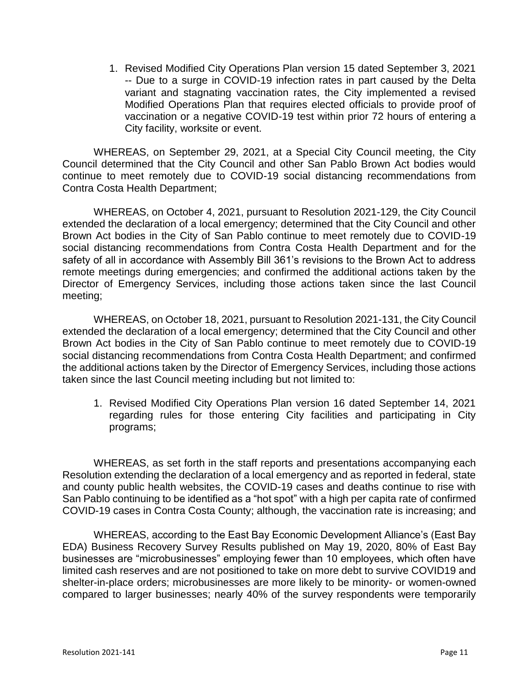1. Revised Modified City Operations Plan version 15 dated September 3, 2021 -- Due to a surge in COVID-19 infection rates in part caused by the Delta variant and stagnating vaccination rates, the City implemented a revised Modified Operations Plan that requires elected officials to provide proof of vaccination or a negative COVID-19 test within prior 72 hours of entering a City facility, worksite or event.

WHEREAS, on September 29, 2021, at a Special City Council meeting, the City Council determined that the City Council and other San Pablo Brown Act bodies would continue to meet remotely due to COVID-19 social distancing recommendations from Contra Costa Health Department;

WHEREAS, on October 4, 2021, pursuant to Resolution 2021-129, the City Council extended the declaration of a local emergency; determined that the City Council and other Brown Act bodies in the City of San Pablo continue to meet remotely due to COVID-19 social distancing recommendations from Contra Costa Health Department and for the safety of all in accordance with Assembly Bill 361's revisions to the Brown Act to address remote meetings during emergencies; and confirmed the additional actions taken by the Director of Emergency Services, including those actions taken since the last Council meeting;

WHEREAS, on October 18, 2021, pursuant to Resolution 2021-131, the City Council extended the declaration of a local emergency; determined that the City Council and other Brown Act bodies in the City of San Pablo continue to meet remotely due to COVID-19 social distancing recommendations from Contra Costa Health Department; and confirmed the additional actions taken by the Director of Emergency Services, including those actions taken since the last Council meeting including but not limited to:

1. Revised Modified City Operations Plan version 16 dated September 14, 2021 regarding rules for those entering City facilities and participating in City programs;

WHEREAS, as set forth in the staff reports and presentations accompanying each Resolution extending the declaration of a local emergency and as reported in federal, state and county public health websites, the COVID-19 cases and deaths continue to rise with San Pablo continuing to be identified as a "hot spot" with a high per capita rate of confirmed COVID-19 cases in Contra Costa County; although, the vaccination rate is increasing; and

WHEREAS, according to the East Bay Economic Development Alliance's (East Bay EDA) Business Recovery Survey Results published on May 19, 2020, 80% of East Bay businesses are "microbusinesses" employing fewer than 10 employees, which often have limited cash reserves and are not positioned to take on more debt to survive COVID19 and shelter-in-place orders; microbusinesses are more likely to be minority- or women-owned compared to larger businesses; nearly 40% of the survey respondents were temporarily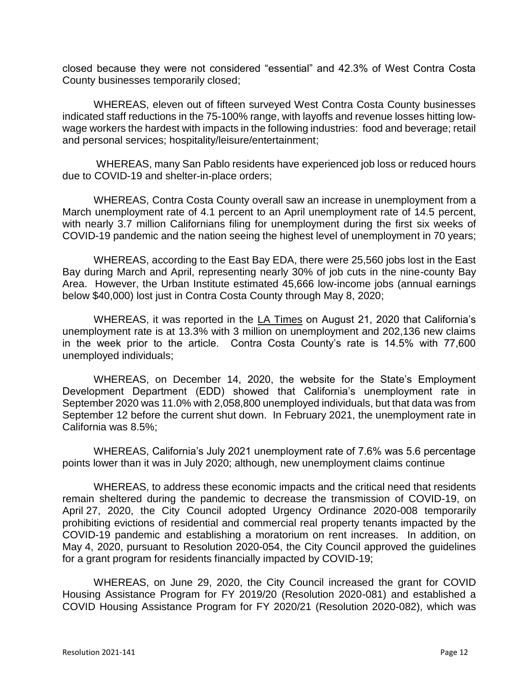closed because they were not considered "essential" and 42.3% of West Contra Costa County businesses temporarily closed;

WHEREAS, eleven out of fifteen surveyed West Contra Costa County businesses indicated staff reductions in the 75-100% range, with layoffs and revenue losses hitting lowwage workers the hardest with impacts in the following industries: food and beverage; retail and personal services; hospitality/leisure/entertainment;

WHEREAS, many San Pablo residents have experienced job loss or reduced hours due to COVID-19 and shelter-in-place orders;

WHEREAS, Contra Costa County overall saw an increase in unemployment from a March unemployment rate of 4.1 percent to an April unemployment rate of 14.5 percent, with nearly 3.7 million Californians filing for unemployment during the first six weeks of COVID-19 pandemic and the nation seeing the highest level of unemployment in 70 years;

WHEREAS, according to the East Bay EDA, there were 25,560 jobs lost in the East Bay during March and April, representing nearly 30% of job cuts in the nine-county Bay Area. However, the Urban Institute estimated 45,666 low-income jobs (annual earnings below \$40,000) lost just in Contra Costa County through May 8, 2020;

WHEREAS, it was reported in the LA Times on August 21, 2020 that California's unemployment rate is at 13.3% with 3 million on unemployment and 202,136 new claims in the week prior to the article. Contra Costa County's rate is 14.5% with 77,600 unemployed individuals;

WHEREAS, on December 14, 2020, the website for the State's Employment Development Department (EDD) showed that California's unemployment rate in September 2020 was 11.0% with 2,058,800 unemployed individuals, but that data was from September 12 before the current shut down. In February 2021, the unemployment rate in California was 8.5%;

WHEREAS, California's July 2021 unemployment rate of 7.6% was 5.6 percentage points lower than it was in July 2020; although, new unemployment claims continue

WHEREAS, to address these economic impacts and the critical need that residents remain sheltered during the pandemic to decrease the transmission of COVID-19, on April 27, 2020, the City Council adopted Urgency Ordinance 2020-008 temporarily prohibiting evictions of residential and commercial real property tenants impacted by the COVID-19 pandemic and establishing a moratorium on rent increases. In addition, on May 4, 2020, pursuant to Resolution 2020-054, the City Council approved the guidelines for a grant program for residents financially impacted by COVID-19;

WHEREAS, on June 29, 2020, the City Council increased the grant for COVID Housing Assistance Program for FY 2019/20 (Resolution 2020-081) and established a COVID Housing Assistance Program for FY 2020/21 (Resolution 2020-082), which was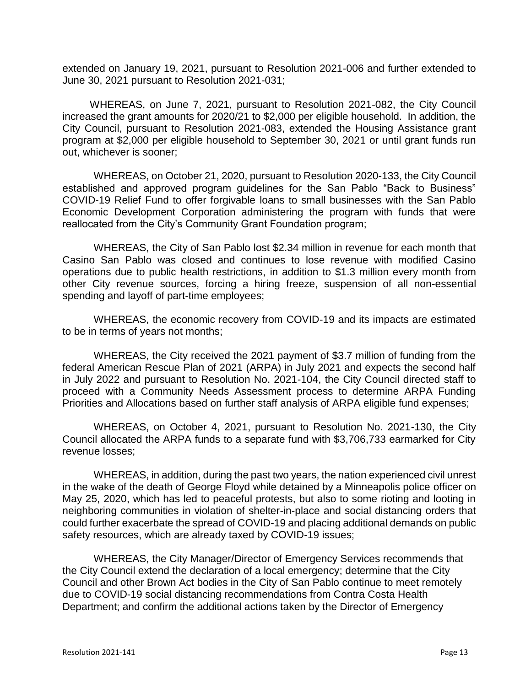extended on January 19, 2021, pursuant to Resolution 2021-006 and further extended to June 30, 2021 pursuant to Resolution 2021-031;

WHEREAS, on June 7, 2021, pursuant to Resolution 2021-082, the City Council increased the grant amounts for 2020/21 to \$2,000 per eligible household. In addition, the City Council, pursuant to Resolution 2021-083, extended the Housing Assistance grant program at \$2,000 per eligible household to September 30, 2021 or until grant funds run out, whichever is sooner;

WHEREAS, on October 21, 2020, pursuant to Resolution 2020-133, the City Council established and approved program guidelines for the San Pablo "Back to Business" COVID-19 Relief Fund to offer forgivable loans to small businesses with the San Pablo Economic Development Corporation administering the program with funds that were reallocated from the City's Community Grant Foundation program;

WHEREAS, the City of San Pablo lost \$2.34 million in revenue for each month that Casino San Pablo was closed and continues to lose revenue with modified Casino operations due to public health restrictions, in addition to \$1.3 million every month from other City revenue sources, forcing a hiring freeze, suspension of all non-essential spending and layoff of part-time employees;

WHEREAS, the economic recovery from COVID-19 and its impacts are estimated to be in terms of years not months;

WHEREAS, the City received the 2021 payment of \$3.7 million of funding from the federal American Rescue Plan of 2021 (ARPA) in July 2021 and expects the second half in July 2022 and pursuant to Resolution No. 2021-104, the City Council directed staff to proceed with a Community Needs Assessment process to determine ARPA Funding Priorities and Allocations based on further staff analysis of ARPA eligible fund expenses;

WHEREAS, on October 4, 2021, pursuant to Resolution No. 2021-130, the City Council allocated the ARPA funds to a separate fund with \$3,706,733 earmarked for City revenue losses;

WHEREAS, in addition, during the past two years, the nation experienced civil unrest in the wake of the death of George Floyd while detained by a Minneapolis police officer on May 25, 2020, which has led to peaceful protests, but also to some rioting and looting in neighboring communities in violation of shelter-in-place and social distancing orders that could further exacerbate the spread of COVID-19 and placing additional demands on public safety resources, which are already taxed by COVID-19 issues;

WHEREAS, the City Manager/Director of Emergency Services recommends that the City Council extend the declaration of a local emergency; determine that the City Council and other Brown Act bodies in the City of San Pablo continue to meet remotely due to COVID-19 social distancing recommendations from Contra Costa Health Department; and confirm the additional actions taken by the Director of Emergency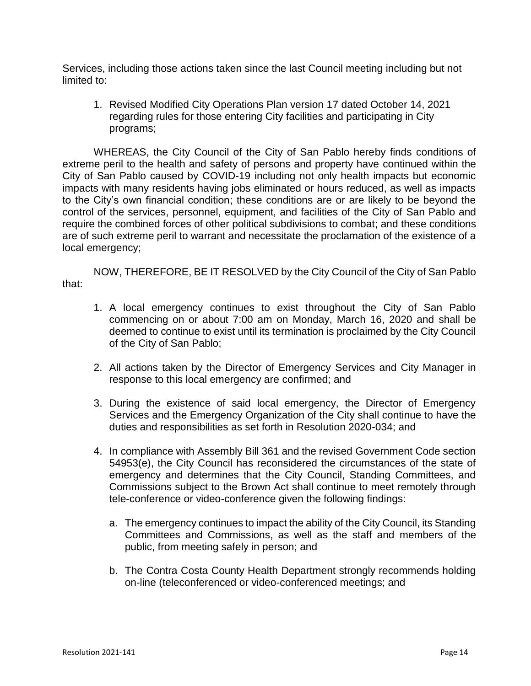Services, including those actions taken since the last Council meeting including but not limited to:

1. Revised Modified City Operations Plan version 17 dated October 14, 2021 regarding rules for those entering City facilities and participating in City programs;

WHEREAS, the City Council of the City of San Pablo hereby finds conditions of extreme peril to the health and safety of persons and property have continued within the City of San Pablo caused by COVID-19 including not only health impacts but economic impacts with many residents having jobs eliminated or hours reduced, as well as impacts to the City's own financial condition; these conditions are or are likely to be beyond the control of the services, personnel, equipment, and facilities of the City of San Pablo and require the combined forces of other political subdivisions to combat; and these conditions are of such extreme peril to warrant and necessitate the proclamation of the existence of a local emergency;

NOW, THEREFORE, BE IT RESOLVED by the City Council of the City of San Pablo that:

- 1. A local emergency continues to exist throughout the City of San Pablo commencing on or about 7:00 am on Monday, March 16, 2020 and shall be deemed to continue to exist until its termination is proclaimed by the City Council of the City of San Pablo;
- 2. All actions taken by the Director of Emergency Services and City Manager in response to this local emergency are confirmed; and
- 3. During the existence of said local emergency, the Director of Emergency Services and the Emergency Organization of the City shall continue to have the duties and responsibilities as set forth in Resolution 2020-034; and
- 4. In compliance with Assembly Bill 361 and the revised Government Code section 54953(e), the City Council has reconsidered the circumstances of the state of emergency and determines that the City Council, Standing Committees, and Commissions subject to the Brown Act shall continue to meet remotely through tele-conference or video-conference given the following findings:
	- a. The emergency continues to impact the ability of the City Council, its Standing Committees and Commissions, as well as the staff and members of the public, from meeting safely in person; and
	- b. The Contra Costa County Health Department strongly recommends holding on-line (teleconferenced or video-conferenced meetings; and